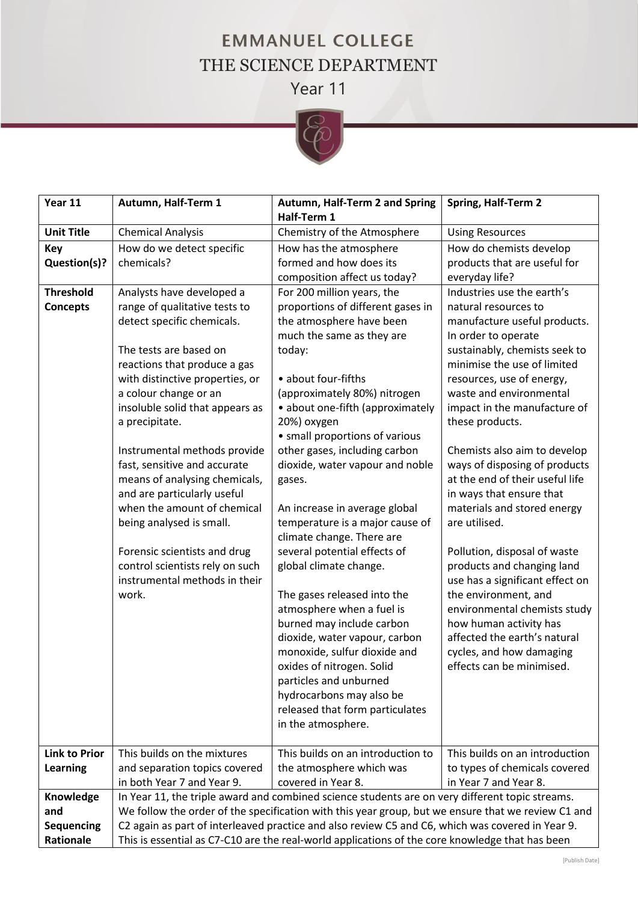## **EMMANUEL COLLEGE** THE SCIENCE DEPARTMENT Year 11



| Year 11              | Autumn, Half-Term 1                                                                              | Autumn, Half-Term 2 and Spring                                                                     | Spring, Half-Term 2                                  |
|----------------------|--------------------------------------------------------------------------------------------------|----------------------------------------------------------------------------------------------------|------------------------------------------------------|
|                      |                                                                                                  | Half-Term 1                                                                                        |                                                      |
| <b>Unit Title</b>    | <b>Chemical Analysis</b>                                                                         | Chemistry of the Atmosphere                                                                        | <b>Using Resources</b>                               |
| <b>Key</b>           | How do we detect specific                                                                        | How has the atmosphere                                                                             | How do chemists develop                              |
| Question(s)?         | chemicals?                                                                                       | formed and how does its                                                                            | products that are useful for                         |
|                      |                                                                                                  | composition affect us today?                                                                       | everyday life?                                       |
| <b>Threshold</b>     | Analysts have developed a                                                                        | For 200 million years, the                                                                         | Industries use the earth's                           |
| <b>Concepts</b>      | range of qualitative tests to<br>detect specific chemicals.                                      | proportions of different gases in                                                                  | natural resources to<br>manufacture useful products. |
|                      |                                                                                                  | the atmosphere have been<br>much the same as they are                                              | In order to operate                                  |
|                      | The tests are based on                                                                           | today:                                                                                             | sustainably, chemists seek to                        |
|                      | reactions that produce a gas                                                                     |                                                                                                    | minimise the use of limited                          |
|                      | with distinctive properties, or                                                                  | • about four-fifths                                                                                | resources, use of energy,                            |
|                      | a colour change or an                                                                            | (approximately 80%) nitrogen                                                                       | waste and environmental                              |
|                      | insoluble solid that appears as                                                                  | • about one-fifth (approximately                                                                   | impact in the manufacture of                         |
|                      | a precipitate.                                                                                   | 20%) oxygen                                                                                        | these products.                                      |
|                      |                                                                                                  | • small proportions of various                                                                     |                                                      |
|                      | Instrumental methods provide                                                                     | other gases, including carbon                                                                      | Chemists also aim to develop                         |
|                      | fast, sensitive and accurate                                                                     | dioxide, water vapour and noble                                                                    | ways of disposing of products                        |
|                      | means of analysing chemicals,                                                                    | gases.                                                                                             | at the end of their useful life                      |
|                      | and are particularly useful                                                                      |                                                                                                    | in ways that ensure that                             |
|                      | when the amount of chemical                                                                      | An increase in average global                                                                      | materials and stored energy                          |
|                      | being analysed is small.                                                                         | temperature is a major cause of                                                                    | are utilised.                                        |
|                      | Forensic scientists and drug                                                                     | climate change. There are<br>several potential effects of                                          | Pollution, disposal of waste                         |
|                      | control scientists rely on such                                                                  | global climate change.                                                                             | products and changing land                           |
|                      | instrumental methods in their                                                                    |                                                                                                    | use has a significant effect on                      |
|                      | work.                                                                                            | The gases released into the                                                                        | the environment, and                                 |
|                      |                                                                                                  | atmosphere when a fuel is                                                                          | environmental chemists study                         |
|                      |                                                                                                  | burned may include carbon                                                                          | how human activity has                               |
|                      |                                                                                                  | dioxide, water vapour, carbon                                                                      | affected the earth's natural                         |
|                      |                                                                                                  | monoxide, sulfur dioxide and                                                                       | cycles, and how damaging                             |
|                      |                                                                                                  | oxides of nitrogen. Solid                                                                          | effects can be minimised.                            |
|                      |                                                                                                  | particles and unburned                                                                             |                                                      |
|                      |                                                                                                  | hydrocarbons may also be                                                                           |                                                      |
|                      |                                                                                                  | released that form particulates                                                                    |                                                      |
|                      |                                                                                                  | in the atmosphere.                                                                                 |                                                      |
| <b>Link to Prior</b> | This builds on the mixtures                                                                      | This builds on an introduction to                                                                  | This builds on an introduction                       |
| Learning             | and separation topics covered                                                                    | the atmosphere which was                                                                           | to types of chemicals covered                        |
|                      | in both Year 7 and Year 9.                                                                       | covered in Year 8.                                                                                 | in Year 7 and Year 8.                                |
| Knowledge            |                                                                                                  | In Year 11, the triple award and combined science students are on very different topic streams.    |                                                      |
| and                  |                                                                                                  | We follow the order of the specification with this year group, but we ensure that we review C1 and |                                                      |
| <b>Sequencing</b>    | C2 again as part of interleaved practice and also review C5 and C6, which was covered in Year 9. |                                                                                                    |                                                      |
| Rationale            | This is essential as C7-C10 are the real-world applications of the core knowledge that has been  |                                                                                                    |                                                      |